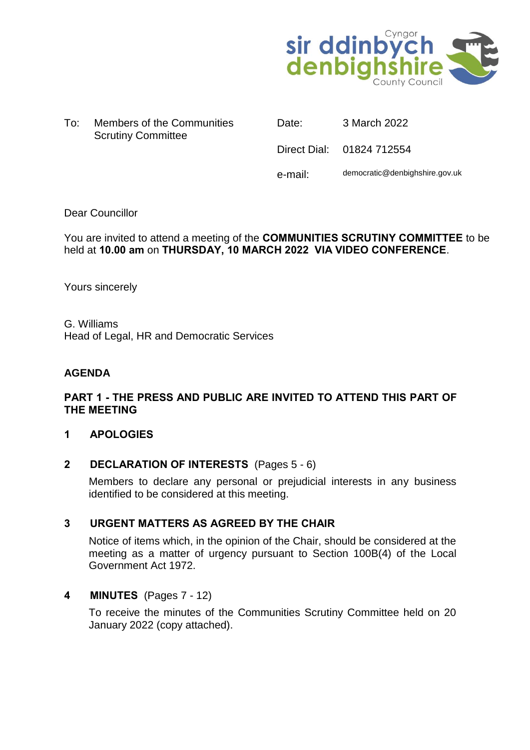

To: Members of the Communities Scrutiny Committee

Date: 3 March 2022

Direct Dial: 01824 712554

e-mail: democratic@denbighshire.gov.uk

# Dear Councillor

You are invited to attend a meeting of the **COMMUNITIES SCRUTINY COMMITTEE** to be held at **10.00 am** on **THURSDAY, 10 MARCH 2022 VIA VIDEO CONFERENCE**.

Yours sincerely

G. Williams Head of Legal, HR and Democratic Services

## **AGENDA**

# **PART 1 - THE PRESS AND PUBLIC ARE INVITED TO ATTEND THIS PART OF THE MEETING**

## **1 APOLOGIES**

## **2 DECLARATION OF INTERESTS** (Pages 5 - 6)

Members to declare any personal or prejudicial interests in any business identified to be considered at this meeting.

## **3 URGENT MATTERS AS AGREED BY THE CHAIR**

Notice of items which, in the opinion of the Chair, should be considered at the meeting as a matter of urgency pursuant to Section 100B(4) of the Local Government Act 1972.

## **4 MINUTES** (Pages 7 - 12)

To receive the minutes of the Communities Scrutiny Committee held on 20 January 2022 (copy attached).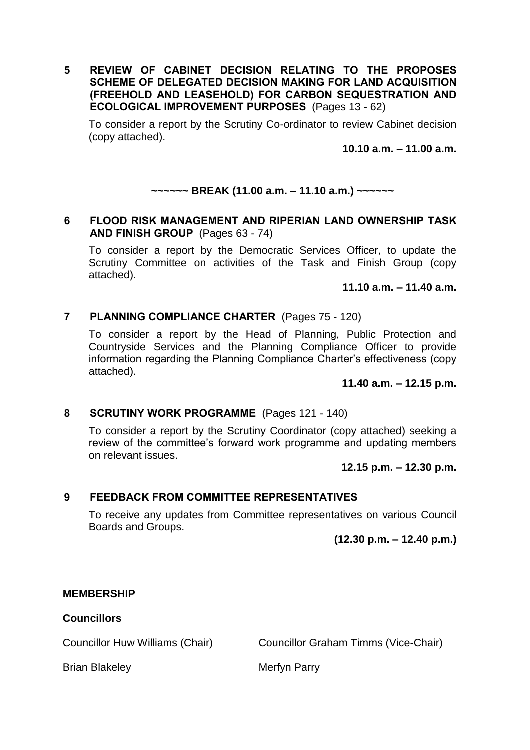**5 REVIEW OF CABINET DECISION RELATING TO THE PROPOSES SCHEME OF DELEGATED DECISION MAKING FOR LAND ACQUISITION (FREEHOLD AND LEASEHOLD) FOR CARBON SEQUESTRATION AND ECOLOGICAL IMPROVEMENT PURPOSES** (Pages 13 - 62)

To consider a report by the Scrutiny Co-ordinator to review Cabinet decision (copy attached).

**10.10 a.m. – 11.00 a.m.**

## **~~~~~~ BREAK (11.00 a.m. – 11.10 a.m.) ~~~~~~**

#### **6 FLOOD RISK MANAGEMENT AND RIPERIAN LAND OWNERSHIP TASK AND FINISH GROUP** (Pages 63 - 74)

To consider a report by the Democratic Services Officer, to update the Scrutiny Committee on activities of the Task and Finish Group (copy attached).

**11.10 a.m. – 11.40 a.m.**

## **7 PLANNING COMPLIANCE CHARTER** (Pages 75 - 120)

To consider a report by the Head of Planning, Public Protection and Countryside Services and the Planning Compliance Officer to provide information regarding the Planning Compliance Charter's effectiveness (copy attached).

#### **11.40 a.m. – 12.15 p.m.**

## **8 SCRUTINY WORK PROGRAMME** (Pages 121 - 140)

To consider a report by the Scrutiny Coordinator (copy attached) seeking a review of the committee's forward work programme and updating members on relevant issues.

#### **12.15 p.m. – 12.30 p.m.**

## **9 FEEDBACK FROM COMMITTEE REPRESENTATIVES**

To receive any updates from Committee representatives on various Council Boards and Groups.

**(12.30 p.m. – 12.40 p.m.)**

#### **MEMBERSHIP**

#### **Councillors**

Councillor Huw Williams (Chair) Councillor Graham Timms (Vice-Chair)

Brian Blakeley **Merfyn Parry**